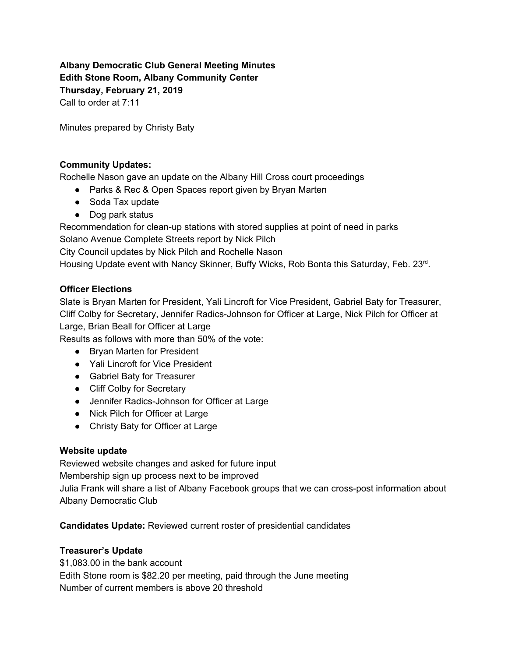# **Albany Democratic Club General Meeting Minutes Edith Stone Room, Albany Community Center Thursday, February 21, 2019**

Call to order at 7:11

Minutes prepared by Christy Baty

#### **Community Updates:**

Rochelle Nason gave an update on the Albany Hill Cross court proceedings

- Parks & Rec & Open Spaces report given by Bryan Marten
- Soda Tax update
- Dog park status

Recommendation for clean-up stations with stored supplies at point of need in parks Solano Avenue Complete Streets report by Nick Pilch

City Council updates by Nick Pilch and Rochelle Nason

Housing Update event with Nancy Skinner, Buffy Wicks, Rob Bonta this Saturday, Feb. 23rd.

#### **Officer Elections**

Slate is Bryan Marten for President, Yali Lincroft for Vice President, Gabriel Baty for Treasurer, Cliff Colby for Secretary, Jennifer Radics-Johnson for Officer at Large, Nick Pilch for Officer at Large, Brian Beall for Officer at Large

Results as follows with more than 50% of the vote:

- Bryan Marten for President
- Yali Lincroft for Vice President
- Gabriel Baty for Treasurer
- Cliff Colby for Secretary
- Jennifer Radics-Johnson for Officer at Large
- Nick Pilch for Officer at Large
- Christy Baty for Officer at Large

#### **Website update**

Reviewed website changes and asked for future input Membership sign up process next to be improved Julia Frank will share a list of Albany Facebook groups that we can cross-post information about Albany Democratic Club

**Candidates Update:** Reviewed current roster of presidential candidates

### **Treasurer's Update**

\$1,083.00 in the bank account Edith Stone room is \$82.20 per meeting, paid through the June meeting Number of current members is above 20 threshold